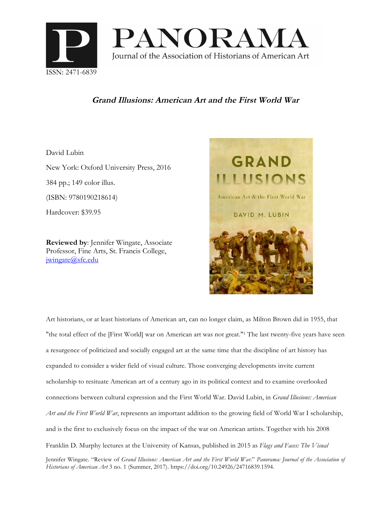

## **Grand Illusions: American Art and the First World War**

David Lubin

New York: Oxford University Press, 2016 384 pp.; 149 color illus. (ISBN: 9780190218614) Hardcover: \$39.95

**Reviewed by**: Jennifer Wingate, Associate Professor, Fine Arts, St. Francis College, jwingate@sfc.edu



Art historians, or at least historians of American art, can no longer claim, as Milton Brown did in 1955, that "the total effect of the [First World] war on American art was not great."<sup>1</sup> The last twenty-five years have seen a resurgence of politicized and socially engaged art at the same time that the discipline of art history has expanded to consider a wider field of visual culture. Those converging developments invite current scholarship to resituate American art of a century ago in its political context and to examine overlooked connections between cultural expression and the First World War. David Lubin, in *Grand Illusions: American Art and the First World War*, represents an important addition to the growing field of World War I scholarship, and is the first to exclusively focus on the impact of the war on American artists. Together with his 2008 Franklin D. Murphy lectures at the University of Kansas, published in 2015 as *Flags and Faces: The Visual* Jennifer Wingate. "Review of *Grand Illusions: American Art and the First World War*." *Panorama: Journal of the Association of Historians of American Art* 3 no. 1 (Summer, 2017). https://doi.org/10.24926/24716839.1594.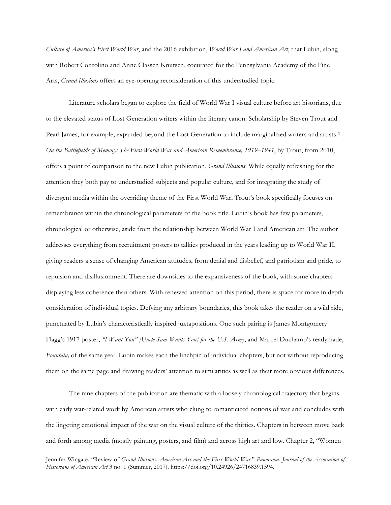*Culture of America's First World War*, and the 2016 exhibition, *World War I and American Art*, that Lubin, along with Robert Cozzolino and Anne Classen Knutsen, cocurated for the Pennsylvania Academy of the Fine Arts, *Grand Illusions* offers an eye-opening reconsideration of this understudied topic.

Literature scholars began to explore the field of World War I visual culture before art historians, due to the elevated status of Lost Generation writers within the literary canon. Scholarship by Steven Trout and Pearl James, for example, expanded beyond the Lost Generation to include marginalized writers and artists. 2 *On the Battlefields of Memory: The First World War and American Remembrance, 1919–1941*, by Trout, from 2010, offers a point of comparison to the new Lubin publication, *Grand Illusions*. While equally refreshing for the attention they both pay to understudied subjects and popular culture, and for integrating the study of divergent media within the overriding theme of the First World War, Trout's book specifically focuses on remembrance within the chronological parameters of the book title. Lubin's book has few parameters, chronological or otherwise, aside from the relationship between World War I and American art. The author addresses everything from recruitment posters to talkies produced in the years leading up to World War II, giving readers a sense of changing American attitudes, from denial and disbelief, and patriotism and pride, to repulsion and disillusionment. There are downsides to the expansiveness of the book, with some chapters displaying less coherence than others. With renewed attention on this period, there is space for more in depth consideration of individual topics. Defying any arbitrary boundaries, this book takes the reader on a wild ride, punctuated by Lubin's characteristically inspired juxtapositions. One such pairing is James Montgomery Flagg's 1917 poster, *"I Want You" [Uncle Sam Wants You] for the U.S. Army*, and Marcel Duchamp's readymade, *Fountain,* of the same year. Lubin makes each the linchpin of individual chapters, but not without reproducing them on the same page and drawing readers' attention to similarities as well as their more obvious differences.

The nine chapters of the publication are thematic with a loosely chronological trajectory that begins with early war-related work by American artists who clung to romanticized notions of war and concludes with the lingering emotional impact of the war on the visual culture of the thirties. Chapters in between move back and forth among media (mostly painting, posters, and film) and across high art and low. Chapter 2, "Women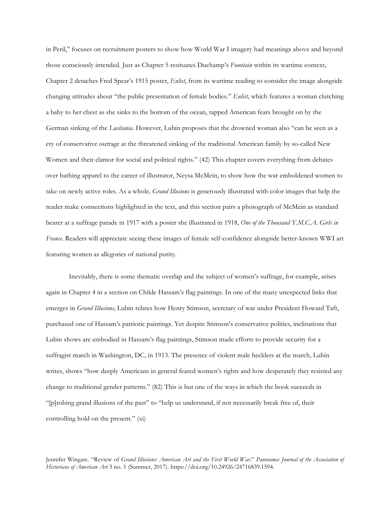in Peril," focuses on recruitment posters to show how World War I imagery had meanings above and beyond those consciously intended. Just as Chapter 5 resituates Duchamp's *Fountain* within its wartime context, Chapter 2 detaches Fred Spear's 1915 poster, *Enlist*, from its wartime reading to consider the image alongside changing attitudes about "the public presentation of female bodies." *Enlist,* which features a woman clutching a baby to her chest as she sinks to the bottom of the ocean, tapped American fears brought on by the German sinking of the *Lusitania*. However, Lubin proposes that the drowned woman also "can be seen as a cry of conservative outrage at the threatened sinking of the traditional American family by so-called New Women and their clamor for social and political rights." (42) This chapter covers everything from debates over bathing apparel to the career of illustrator, Neysa McMein, to show how the war emboldened women to take on newly active roles. As a whole*, Grand Illusions* is generously illustrated with color images that help the reader make connections highlighted in the text, and this section pairs a photograph of McMein as standard bearer at a suffrage parade in 1917 with a poster she illustrated in 1918, *One of the Thousand Y.M.C.A. Girls in France*. Readers will appreciate seeing these images of female self-confidence alongside better-known WWI art featuring women as allegories of national purity.

Inevitably, there is some thematic overlap and the subject of women's suffrage, for example, arises again in Chapter 4 in a section on Childe Hassam's flag paintings. In one of the many unexpected links that emerges in *Grand Illusions*, Lubin relates how Henry Stimson, secretary of war under President Howard Taft, purchased one of Hassam's patriotic paintings. Yet despite Stimson's conservative politics, inclinations that Lubin shows are embodied in Hassam's flag paintings, Stimson made efforts to provide security for a suffragist march in Washington, DC, in 1913. The presence of violent male hecklers at the march, Lubin writes, shows "how deeply Americans in general feared women's rights and how desperately they resisted any change to traditional gender patterns." (82) This is but one of the ways in which the book succeeds in "[p]robing grand illusions of the past" to "help us understand, if not necessarily break free of, their controlling hold on the present." (xi)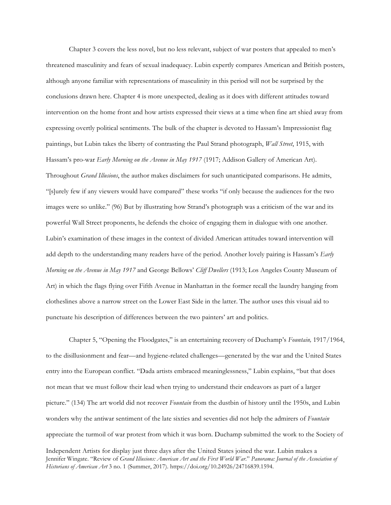Chapter 3 covers the less novel, but no less relevant, subject of war posters that appealed to men's threatened masculinity and fears of sexual inadequacy. Lubin expertly compares American and British posters, although anyone familiar with representations of masculinity in this period will not be surprised by the conclusions drawn here. Chapter 4 is more unexpected, dealing as it does with different attitudes toward intervention on the home front and how artists expressed their views at a time when fine art shied away from expressing overtly political sentiments. The bulk of the chapter is devoted to Hassam's Impressionist flag paintings, but Lubin takes the liberty of contrasting the Paul Strand photograph, *Wall Street*, 1915, with Hassam's pro-war *Early Morning on the Avenue in May 1917* (1917; Addison Gallery of American Art). Throughout *Grand Illusions*, the author makes disclaimers for such unanticipated comparisons. He admits, "[s]urely few if any viewers would have compared" these works "if only because the audiences for the two images were so unlike." (96) But by illustrating how Strand's photograph was a criticism of the war and its powerful Wall Street proponents, he defends the choice of engaging them in dialogue with one another. Lubin's examination of these images in the context of divided American attitudes toward intervention will add depth to the understanding many readers have of the period. Another lovely pairing is Hassam's *Early Morning on the Avenue in May 1917* and George Bellows' *Cliff Dwellers* (1913; Los Angeles County Museum of Art) in which the flags flying over Fifth Avenue in Manhattan in the former recall the laundry hanging from clotheslines above a narrow street on the Lower East Side in the latter. The author uses this visual aid to punctuate his description of differences between the two painters' art and politics.

Chapter 5, "Opening the Floodgates," is an entertaining recovery of Duchamp's *Fountain,* 1917/1964, to the disillusionment and fear—and hygiene-related challenges—generated by the war and the United States entry into the European conflict. "Dada artists embraced meaninglessness," Lubin explains, "but that does not mean that we must follow their lead when trying to understand their endeavors as part of a larger picture." (134) The art world did not recover *Fountain* from the dustbin of history until the 1950s, and Lubin wonders why the antiwar sentiment of the late sixties and seventies did not help the admirers of *Fountain* appreciate the turmoil of war protest from which it was born. Duchamp submitted the work to the Society of

Independent Artists for display just three days after the United States joined the war. Lubin makes a Jennifer Wingate. "Review of Grand Illusions: American Art and the First World War." Panorama: Journal of the Association of *Historians of American Art* 3 no. 1 (Summer, 2017). https://doi.org/10.24926/24716839.1594.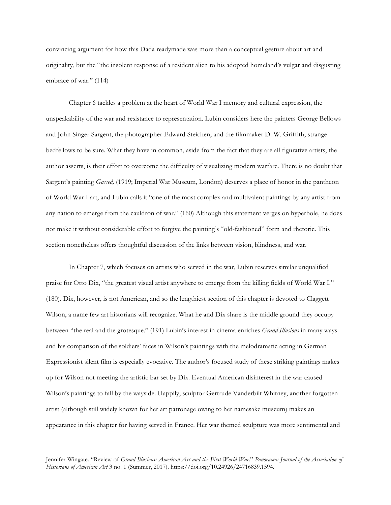convincing argument for how this Dada readymade was more than a conceptual gesture about art and originality, but the "the insolent response of a resident alien to his adopted homeland's vulgar and disgusting embrace of war." (114)

Chapter 6 tackles a problem at the heart of World War I memory and cultural expression, the unspeakability of the war and resistance to representation. Lubin considers here the painters George Bellows and John Singer Sargent, the photographer Edward Steichen, and the filmmaker D. W. Griffith, strange bedfellows to be sure. What they have in common, aside from the fact that they are all figurative artists, the author asserts, is their effort to overcome the difficulty of visualizing modern warfare. There is no doubt that Sargent's painting *Gassed,* (1919; Imperial War Museum, London) deserves a place of honor in the pantheon of World War I art, and Lubin calls it "one of the most complex and multivalent paintings by any artist from any nation to emerge from the cauldron of war." (160) Although this statement verges on hyperbole, he does not make it without considerable effort to forgive the painting's "old-fashioned" form and rhetoric. This section nonetheless offers thoughtful discussion of the links between vision, blindness, and war.

In Chapter 7, which focuses on artists who served in the war, Lubin reserves similar unqualified praise for Otto Dix, "the greatest visual artist anywhere to emerge from the killing fields of World War I." (180). Dix, however, is not American, and so the lengthiest section of this chapter is devoted to Claggett Wilson, a name few art historians will recognize. What he and Dix share is the middle ground they occupy between "the real and the grotesque." (191) Lubin's interest in cinema enriches *Grand Illusions* in many ways and his comparison of the soldiers' faces in Wilson's paintings with the melodramatic acting in German Expressionist silent film is especially evocative. The author's focused study of these striking paintings makes up for Wilson not meeting the artistic bar set by Dix. Eventual American disinterest in the war caused Wilson's paintings to fall by the wayside. Happily, sculptor Gertrude Vanderbilt Whitney, another forgotten artist (although still widely known for her art patronage owing to her namesake museum) makes an appearance in this chapter for having served in France. Her war themed sculpture was more sentimental and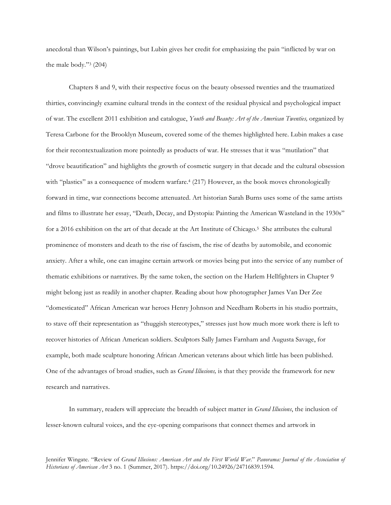anecdotal than Wilson's paintings, but Lubin gives her credit for emphasizing the pain "inflicted by war on the male body."<sup>3</sup> (204)

Chapters 8 and 9, with their respective focus on the beauty obsessed twenties and the traumatized thirties, convincingly examine cultural trends in the context of the residual physical and psychological impact of war. The excellent 2011 exhibition and catalogue, *Youth and Beauty: Art of the American Twenties,* organized by Teresa Carbone for the Brooklyn Museum, covered some of the themes highlighted here. Lubin makes a case for their recontextualization more pointedly as products of war. He stresses that it was "mutilation" that "drove beautification" and highlights the growth of cosmetic surgery in that decade and the cultural obsession with "plastics" as a consequence of modern warfare.<sup>4</sup> (217) However, as the book moves chronologically forward in time, war connections become attenuated. Art historian Sarah Burns uses some of the same artists and films to illustrate her essay, "Death, Decay, and Dystopia: Painting the American Wasteland in the 1930s" for a 2016 exhibition on the art of that decade at the Art Institute of Chicago.<sup>5</sup> She attributes the cultural prominence of monsters and death to the rise of fascism, the rise of deaths by automobile, and economic anxiety. After a while, one can imagine certain artwork or movies being put into the service of any number of thematic exhibitions or narratives. By the same token, the section on the Harlem Hellfighters in Chapter 9 might belong just as readily in another chapter. Reading about how photographer James Van Der Zee "domesticated" African American war heroes Henry Johnson and Needham Roberts in his studio portraits, to stave off their representation as "thuggish stereotypes," stresses just how much more work there is left to recover histories of African American soldiers. Sculptors Sally James Farnham and Augusta Savage, for example, both made sculpture honoring African American veterans about which little has been published. One of the advantages of broad studies, such as *Grand Illusions,* is that they provide the framework for new research and narratives.

In summary, readers will appreciate the breadth of subject matter in *Grand Illusions*, the inclusion of lesser-known cultural voices, and the eye-opening comparisons that connect themes and artwork in